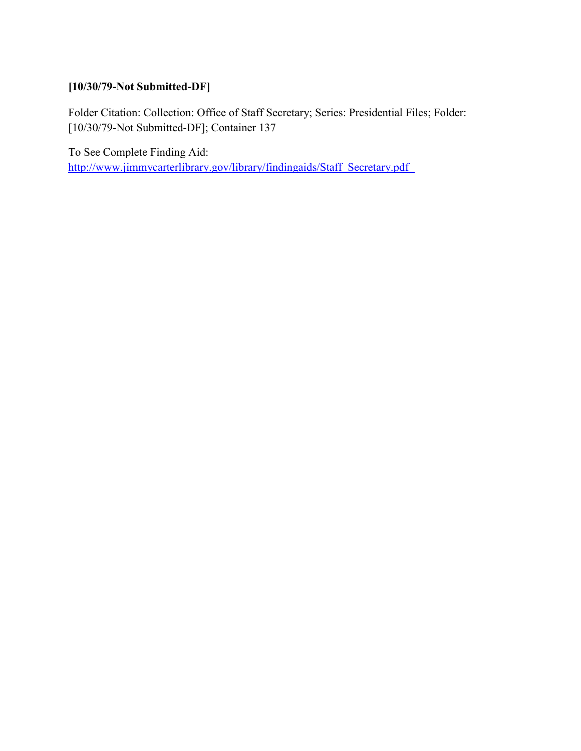# **[10/30/79-Not Submitted-DF]**

Folder Citation: Collection: Office of Staff Secretary; Series: Presidential Files; Folder: [10/30/79-Not Submitted-DF]; Container 137

To See Complete Finding Aid: [http://www.jimmycarterlibrary.gov/library/findingaids/Staff\\_Secretary.pdf](http://www.jimmycarterlibrary.gov/library/findingaids/Staff_Secretary.pdf)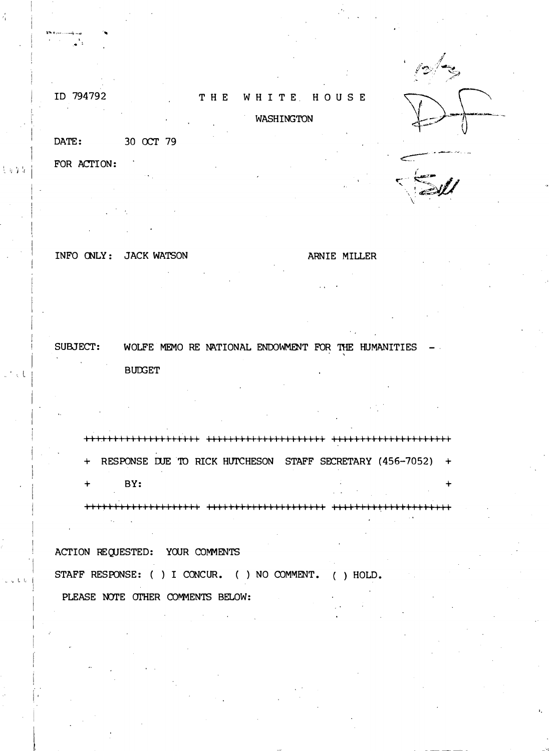# ID 794792

#### THE WHITE HOUSE

# WASHINGTON

DATE: 30 OCT 79

FOR ACTION:

INFO CNLY : JACK WATSON

ARNIE MILLER

.. ' . l

 $\bar{\xi}$  is  $Y$  is

 $\cdot$  i I

, . ., L L

SUBJECT: WOLFE MEMO RE NATIONAL ENDOWMENT FOR THE HUMANITIES  $-$ **BUDGET** 

I I II I I I I I I I I I I I I I I II II II I II I I I I II I II II I I I ++-+++1 I I I I I I I I II I I I I I + RESPONSE DUE TO RICK HUTCHESON STAFF SECRETARY (456-7052) + + BY: +

I I II I I II I I I I I II II+++ ++++Ill II II I II 1111111 ++++II Ill. 11111111 I Ill

ACTION REQUESTED: YOUR COMMENTS STAFF RESPONSE: ( ) I CONCUR. ( ) NO COMMENT. ( ) HOLD. PLEASE NOTE OTHER COMMENTS BELOW: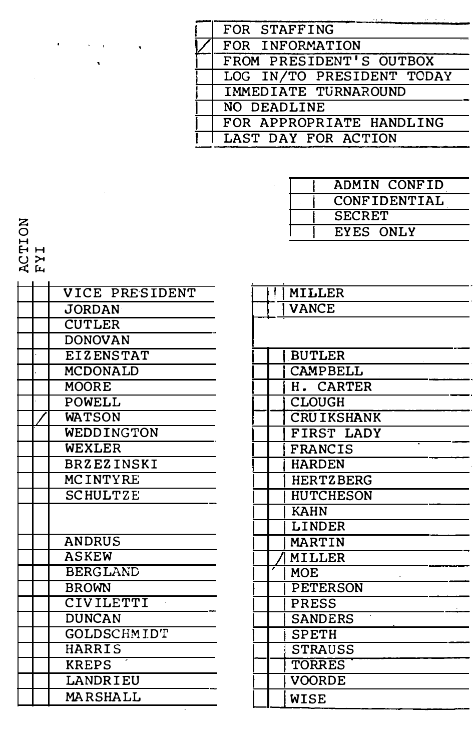| FOR STAFFING              |
|---------------------------|
| FOR INFORMATION           |
| FROM PRESIDENT'S OUTBOX   |
| LOG IN/TO PRESIDENT TODAY |
| IMMEDIATE TURNAROUND      |
| NO DEADLINE               |
| FOR APPROPRIATE HANDLING  |
| LAST DAY FOR ACTION       |

| ADMIN CONFID  |
|---------------|
| CONFIDENTIAL  |
| <b>SECRET</b> |
| EYES ONLY     |

T<br>L<br>L Q<br>H<br>H<br>H

 $\angle$ VICE PRESIDENT **JORDAN CUTLER** DONOVAN EIZENSTAT MCDONALD **MOORE** POWELL **WATSON** WEDDINGTON WEXLER BRZEZINSKI MCINTYRE **SCHULTZE** ANDRUS ASKEW BERGLAND **BROWN** CIVILETTI DUNCAN GOLDSCHM ID'r **HARRIS** KREPS **LANDRIEU** MARSHALL

| MILLER            |
|-------------------|
| VANCE             |
|                   |
|                   |
| BUTLER            |
| CAMPBELL          |
| H. CARTER         |
| <b>CLOUGH</b>     |
| <b>CRUIKSHANK</b> |
| FIRST LADY        |
| <b>FRANCIS</b>    |
| <b>HARDEN</b>     |
| <b>HERTZBERG</b>  |
| HUTCHESON         |
| <b>KAHN</b>       |
| LINDER            |
| <b>MARTIN</b>     |
| MILLER            |
| <b>MOE</b>        |
| <b>PETERSON</b>   |
| <b>PRESS</b>      |
| <b>SANDERS</b>    |
| <b>SPETH</b>      |
| <b>STRAUSS</b>    |
| <b>TORRES</b>     |
| VOORDE            |
| WISE              |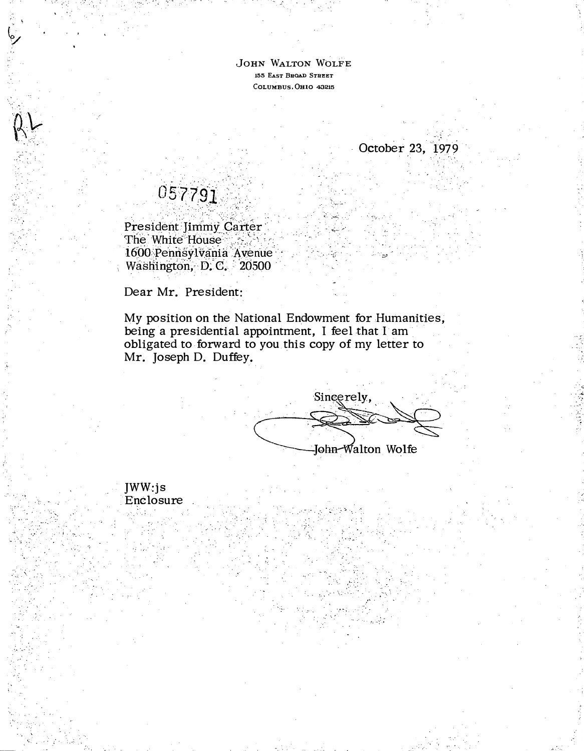JoHN WALToN WoLFE 155 EAsT BROAD STREET COLUMBUS, OHIO 43215

.; ···'

October 23, 1979

.. '�t

. ·-

# 057791

-.· ·-

. '

RK

·--: · ,•

- ;.: . -

���- .

.' · ·..- -.

\_ . ..

 $\cdot$ ,-

 $\mathbb{C}^n \subset \mathbb{C}^n$ 

President Jimmy Carter The White House 1600 Pennsylvania Avenue Washington, D. C. 20500

Dear Mr. President:

JWW:js Enclosure

My position on the National Endowment for Humanities, being a presidential appointment, I feel that I am obligated to forward to you this copy of my letter to Mr. Joseph D. Duffey.

> $\cdot$   $\cdot$   $\cdot$  $\zeta$ .

Sincerely, John-Walton Wolfe

. . -,. ·-� ...

.· . · ,\_ -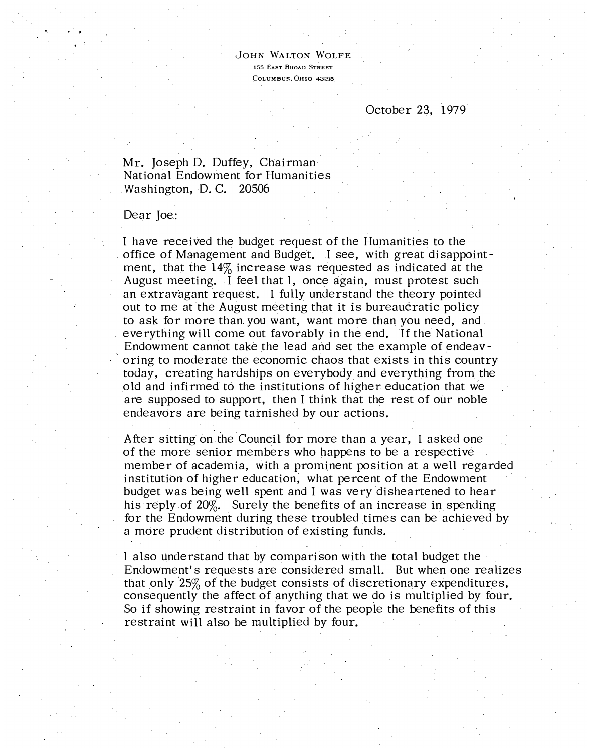JoHN WALTON WoLFE 155 EAST BROAD STREET COLUMBUS. OHIO <sup>43215</sup>

# October 23, 1979

Mr. Joseph D. Duffey, Chairman National Endowment for Humanities Washington, D. C. 20506

Dear Joe:

I have received the budget request of the Humanities to the . office of Management and Budget. I see, with great disappointment, that the 14% increase was requested as indicated at the August meeting. I feel that I, once again, must protest such an extravagant request. I fully understand the theory pointed out to me at the August meeting that it is bureaucratic policy to ask for more than you want, want more than you need, and everything will come out favorably in the end. If the National Endowment cannot take the lead and set the example of endeavoring to moderate the economic chaos that exists in this country today, creating hardships on everybody and everything from the old and infirmed to the institutions of higher education that we are supposed to support, then I think that the rest of our noble endeavors are being tarnished by our actions.

After sitting on the Council for more than a year, I asked one of the more senior members who happens to be a respective member of academia, with a prominent position at a well regarded institution of higher education, what percent of the Endowment budget was being well spent and I was very disheartened to hear his reply of 20%. Surely the benefits of an increase in spending for the Endowment during these troubled times can be achieved by a more prudent distribution of existing funds.

I also understand that by comparison with the total budget the Endowment's requests are considered small. But when one realizes that only 25% of the budget consists of discretionary expenditures, consequently the affect of anything that we do is multiplied by four. So if showing restraint in favor of the people the benefits of this restraint will also be multiplied by four.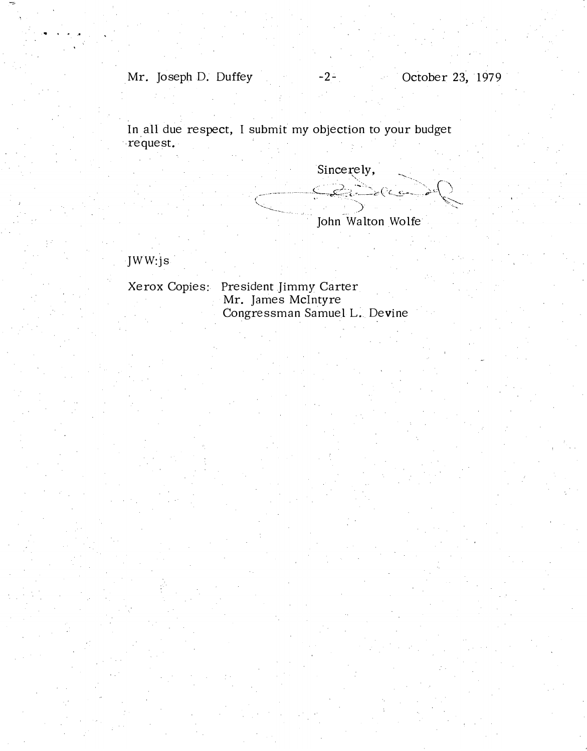Mr. Joseph D. Duffey -2- October 23, 1979

In all due respect, I submit my objection to your budget .request.

Sincerely, Bandler John Walton Wolfe

JWW:js

Xerox Copies: President Jimmy Carter Mr. James McIntyre Congressman Samuel L. Devine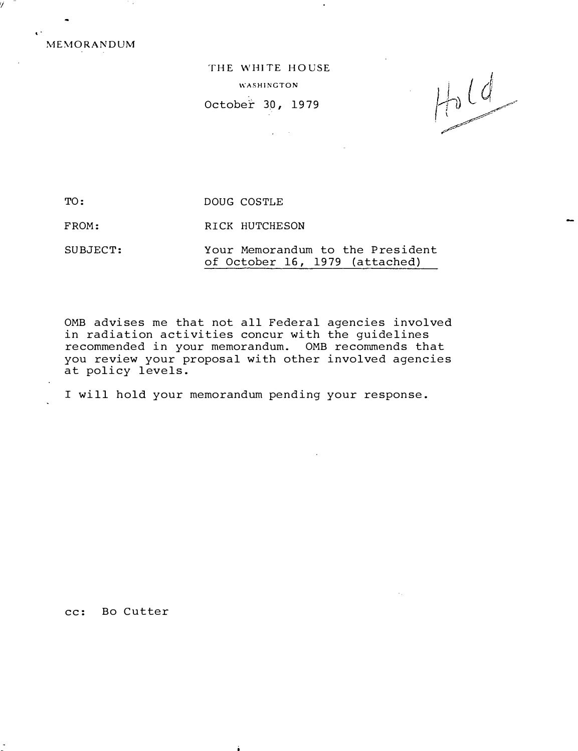MEMORANDUM

'I

• >

THE WHITE HOUSE WASHINGTON October 30, 1979

 $\sim 10$ 

 $Hd$ 

TO: DOUG COSTLE

FROM: RICK HUTCHESON

SUBJECT: Your Memorandum to the President of October 16, 1979 (attached)

OMB advises me that not all Federal agencies involved in radiation activities concur with the guidelines recommended in your memorandum. OMB recommends that you review your proposal with other involved agencies at policy levels.

I will hold your memorandum pending your response.

cc: Bo Cutter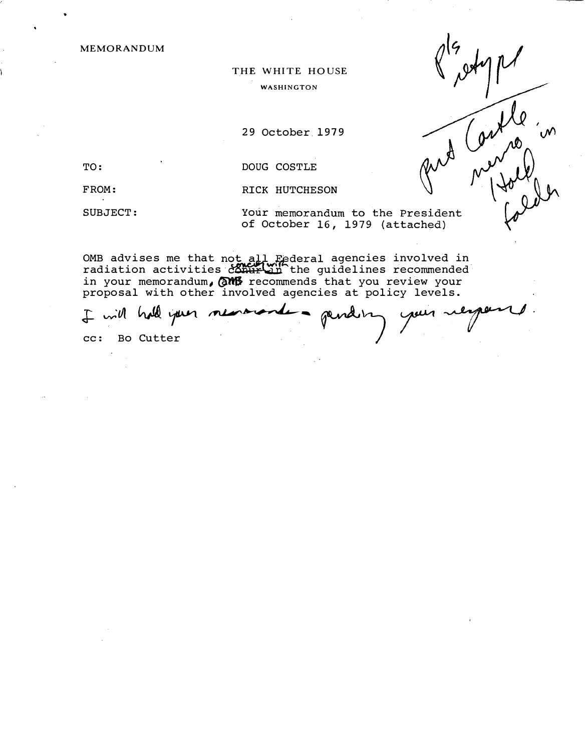MEMORANDUM

# THE WHITE HOUSE WASHINGTON

29 October 1979

•

TO: DOUG COSTLE

FROM: RICK HUTCHESON

SUBJECT: Your memorandum to the President of October 16, 1979 (attached)

 $\chi$ 

OMB advises me that not all Federal agencies involved in<br>radiation activities comurin the guidelines recommended in your memorandum,  $\frac{1}{2}$  recommends that you review your proposal with other involved agencies at policy levels.

I will hall your m cc: Bo Cutter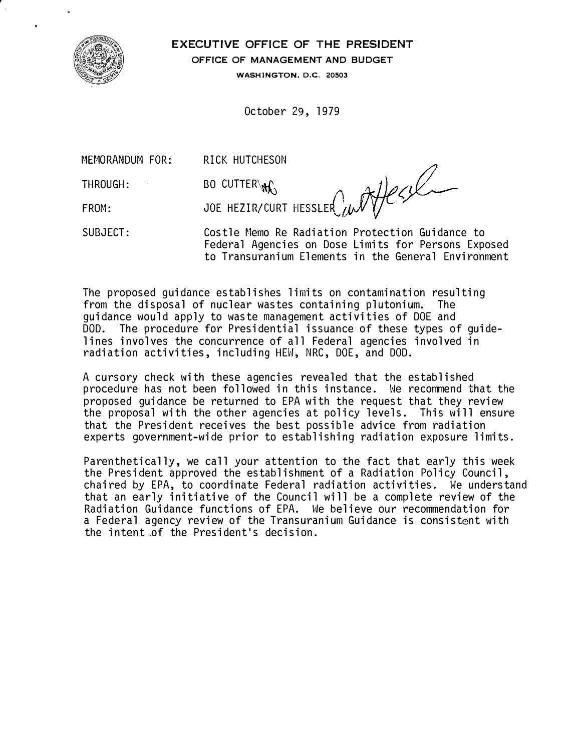

EXECUTIVE OFFICE OF THE PRESIDENT OFFICE OF MANAGEMENT AND BUDGET

WASHINGTON, D.C. 20503

October 29, 1979

MEMORANDUM FOR: RICK HUTCHESON

THROUGH:

FROM:

SUBJECT:

BO CUTTER\  $\mathcal{X}$  express that is a set of the set of the set of the set of the set of the set of the set of the set of the set of the set of the set of the set of the set of the set of the set of the set of the set of JOE HEZIR/CURT HESSLER

Costle Memo Re Radiation Protection Guidance to Federal Agencies on Dose Limits for Persons Exposed to Transuranium Elements in the General Environment

The proposed guidance establishes limits on contamination resulting from the disposal of nuclear wastes containing plutonium. The guidance would apply to waste management activities of DOE and DOD. The procedure for Presidential issuance of these types of guidelines involves the concurrence of all Federal agencies involved in radiation activities, including HEW, NRC, DOE, and DOD.

A cursory check with these agencies revealed that the established procedure has not been followed in this instance. We recommend that the proposed guidance be returned to EPA with the request that they review the proposal with the other agencies at policy levels. This will ensure that the President receives the best possible advice from radiation experts government-wide prior to establishing radiation exposure limits.

Parenthetically, we call your attention to the fact that early this week the President approved the establishment of a Radiation Policy Council, chaired by EPA, to coordinate Federal radiation activities. We understand that an early initiative of the Council will be a complete review of the Radiation Guidance functions of EPA. We believe our recommendation for a Federal agency review of the Transuranium Guidance is consistent with the intent of the President's decision.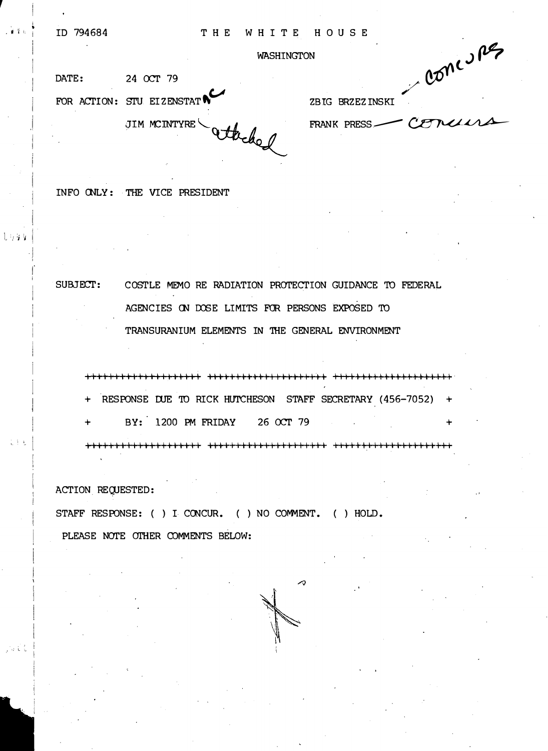WASHINGTON WASHINGTON WASHINGTON 24 OCT 79 TOR ACTION: STU EIZENSTAT N FOR ACTION: STU EIZENSTAT

FRANK PRESS\_COMMAND

INFO CNLY : THE VICE PRESIDENT

SUBJECf: C OSTLE MEMO RE RADIATION PROTECTION GUIDANCE TO FEDERAL AGENCIES ON DOSE LIMITS FOR PERSONS EXPOSED TO TRANSURANIUM ELEMENTS IN 'IHE GENERAL ENVIRONMENT

11111111111111111111 111111111111111111111 +t+-l-11111111111111111·

+ RESPONSE DUE TO RICK HUTCHESON STAFF SECRETARY (456-7052) +

BY: 1200 PM FRIDAY 26 OCT 79

Ill I I I I Ill II I I I I I I I I ++++I I I I I I Ill I II I I II I +++++II I I I I II II II I+++

ACTION REQUESTED:

 $\, \cdot \,$  ;  $\, \cdot \,$  ;

i i r· I

しりなな

医单孔

. ' I : L �-

STAFF RESPONSE: ( ) I CONCUR. ( ) NO COMMENT. ( ) HOLD. PLEASE NOTE OTHER COMMENTS BELOW:

 $\sim$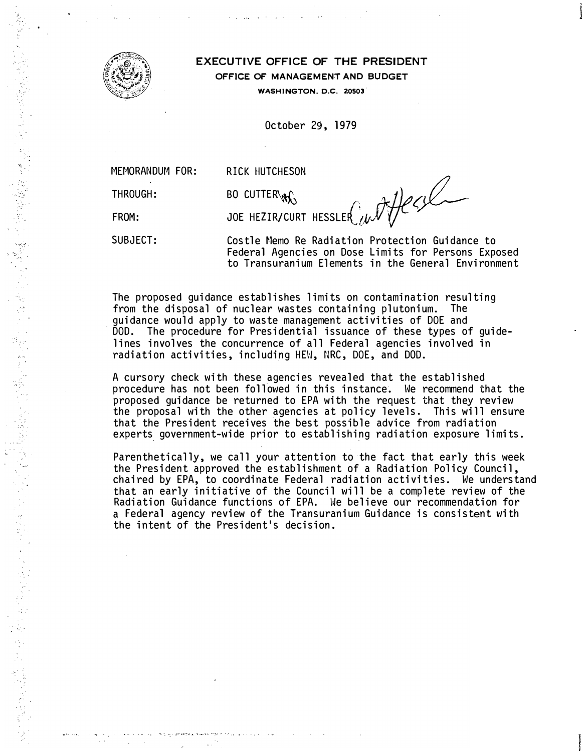

## EXECUTIVE OFFICE OF THE PRESIDENT OFFICE OF MANAGEMENT AND BUDGET

WASHINGTON, D.C. 20503.

October 29, 1979

MFMORANDUM FOR:

... •• - ..... .... �-� 'L ., .... �- --�.- " ••

THROUGH:

FROM:

SUBJECT:

RICK HUTCHESON<br>BO CUTTER\N\ JOE HEZIR/CURT HESSLER  $\mathcal{W}$ 

Costle Memo Re Radiation Protection Guidance to Federal Agencies on Dose Limits for Persons Exposed to Transuranium Elements in the General Environment

The proposed guidance establishes limits on contamination resulting from the disposal of nuclear wastes containing plutonium. The guidance would apply to waste management activities of DOE and DOD. The procedure for Presidential issuance of these types of guidelines involves the concurrence of all Federal agencies involved in radiation activities, including HEW, NRC, DOE, and DOD.

A cursory check with these agencies revealed that the established procedure has not been followed in this instance. We recommend that the proposed guidance be returned to EPA with the request that they review the proposal with the other agencies at policy levels. This will ensure that the President receives the best possible advice from radiation experts government-wide prior to establishing radiation exposure limits.

Parenthetically, we call your attention to the fact that early this week the President approved the establishment of a Radiation Policy Council, chaired by EPA, to coordinate Federal radiation activities. We understand that an early initiative of the Council will be a complete review of the Radiation Guidance functions of EPA. We believe our recommendation for a Federal agency review of the Transuranium Guidance is consistent with the intent of the President's decision .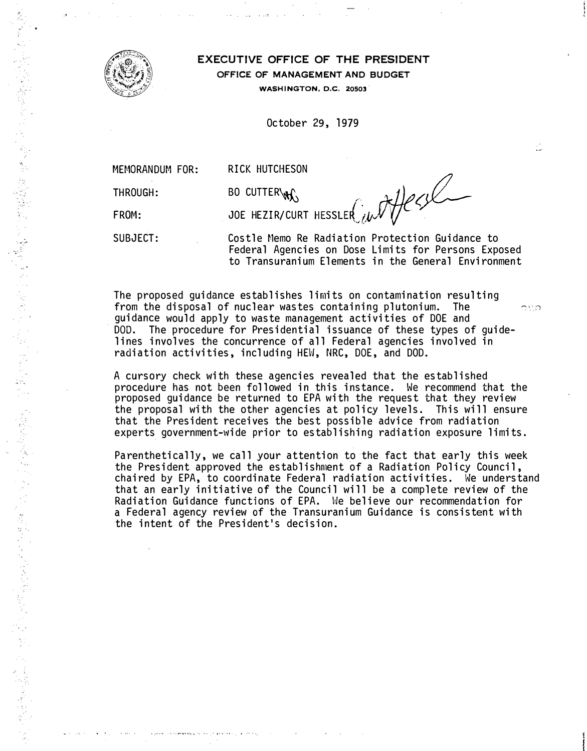

..

医希尔氏征 医前庭病的 法债券的复数 医血管反射 建氯化合金 医血管吸附

# EXECUTIVE OFFICE OF THE PRESIDENT OFFICE OF MANAGEMENT AND BUDGET WASHINGTON, D.C. 20503.

October 29, 1979

RICK HUTCHESON<br>BO CUTTER\N\

THROUGH:

FROM:

JOE HEZIR/CURT HESSLER  $\hat{U}$ 

SUBJECT:

Castle Memo Re Radiation Protection Guidance to Federal Agencies on Dose Limits for Persons Exposed to Transuranium Elements in the General Environment

2

The proposed guidance establishes limits on contamination resulting from the disposal of nuclear wastes containing plutonium. The  $\sim$   $\sim$ guidance would apply to waste management activities of DOE and DOD. The procedure for Presidential issuance of these types of guidelines involves the concurrence of all Federal agencies involved in radiation activities, including HEW, NRC, DOE, and DOD.

A cursory check with these agencies revealed that the established procedure has not been followed in this instance. We recommend that the proposed guidance be returned to EPA with the request that they review the proposal with the other agencies at policy levels. This will ensure that the President receives the best possible advice from radiation experts government-wide prior to establishing radiation exposure limits.

Parenthetically, we call your attention to the fact that early this week the President approved the establishment of a Radiation Policy Council, chaired by EPA, to coordinate Federal radiation activities. We understand that an early initiative of the Council will be a complete review of the Radiation Guidance functions of EPA. He believe our recommendation for a Federal agency review of the Transuranium Guidance is consistent with the intent of the President's decision.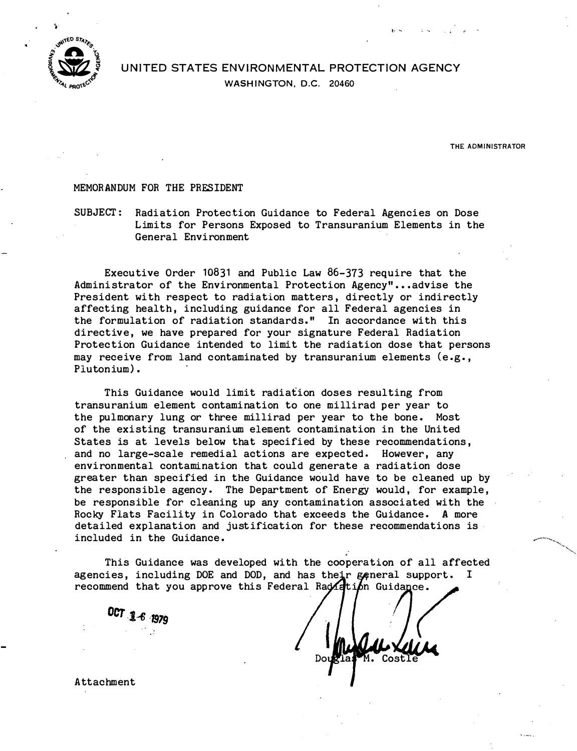

# UNITED STATES ENVIRONMENTAL PROTECTION AGENCY WASHINGTON, D.C. 20460

THE ADMINISTRATOR

#### MEMORANDUM FOR THE PRESIDENT

SUBJECT: Radiation Protection Guidance to Federal Agencies on Dose L imits for Persons Exposed to Transuranium Elements in the General Environ ment

Executive Order 10831 and Public Law 86-373 require that the Administrator of the Environmental Protection Agency"...advise the President with respect to radiation matters, directly or indirectly affecting health, including guidance for all Federal agencies in the formulation of radiation standards." In accordance with this directive, we have prepared for your signature Federal Radiation Protection Guidance intended to limit the radiation dose that persons may receive from land contaminated by transuranium elements (e.g., Plutonium).

This Guidance would limit radiation doses resulting from transuranium element contamination to one millirad per year to the pulmonary lung or three millirad per year to the bone. Most of the existing transuranium element contamination in the United States is at levels below that specified by these recommendations, and no large-scale remedial actions are expected. However, any environ mental contamination that could generate a radiation dose greater than specified in the Guidance would have to be cleaned up by the responsible agency. The Department of Energy would, for example, be responsible for cleaning up any contamination associated with the Rocky Flats Facility in Colorado that exceeds the Guidance. A more detailed explanation and justification for these recommendations is included in the Guidance.

This Guidance was developed with the cooperation of all affected agencies, including DOE and DOD, and has their general support. recommend that you approve this Federal Rad ation Guidance. I

OCT 1-6 1979

 $CostI$ 

A ttachment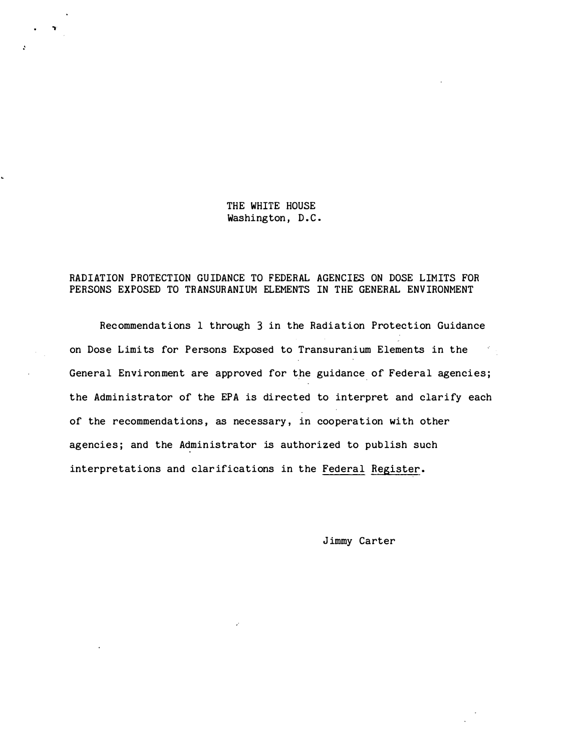THE WHITE HOUSE Washington, D.C.

### RADIATION PROTECTION GUIDANCE TO FEDERAL AGENCIES ON DOSE LIMITS FOR PERSONS EXPOSED TO TRANSURANIUM ELEMENTS IN THE GENERAL ENVIRONMENT

Recommendations 1 through 3 in the Radiation Protection Guidance on Dose Limits for Persons Exposed to Transuranium Elements in the General Environment are approved for the guidance of Federal agencies; the Administrator of the EPA is directed to interpret and clarify each of the recommendations, as necessary, in cooperation with other agencies; and the Administrator is authorized to publish such interpretations and clar ifications in the Federal Register.

Jimmy Carter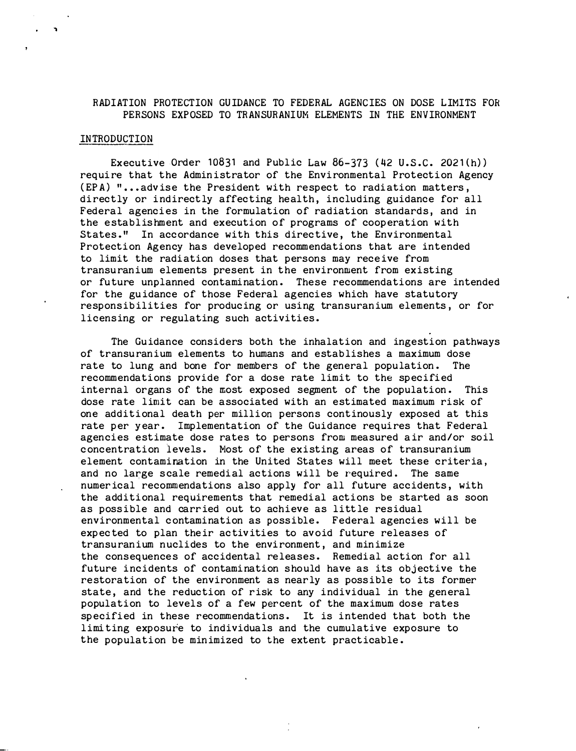## RADIATION PROTECTION GUIDANCE TO FEDERAL AGENCIES ON DOSE LIMITS FOR PERSONS EXPOSED TO TRANSURANIUM ELEMENTS IN THE ENVIRONMENT

#### INTRODUCTION

Executive Order 10831 and Public Law  $86-373$  (42 U.S.C. 2021 $(h)$ ) require that the Administrator of the Environmental Protection Agency (EPA) " ••• adv ise the President with respect to radiation matters, directly or indirectly affecting health, including guidance for all Federal agencies in the formulation of radiation standards, and in the establishment and execution of programs of cooperation with States." In accordance with this directive, the Environmental Protection Agency has developed recommendations that are intended to limit the radiation doses that persons may receive from transuranium elements present in the environment from existing or future unplanned contamination. These recommendations are intended for the guidance of those Federal agencies which have statutory responsibilities for producing or using transuranium elements, or for licensing or regulating such activities.

The Guidance considers both the inhalation and ingestion pathways of transuranium elements to humans and establishes a maximum dose rate to lung and bone for members of the general population. The recommendations provide for a dose rate limit to the specified internal organs of the most exposed segment of the population. This dose rate limit can be associated with an estimated maximum risk of one additional death per million persons continously exposed at this rate per year. Implementation of the Guidance requires that Federal agencies estimate dose rates to persons from measured air and/or soil concentration levels. Most of the existing areas of transuranium element contamination in the United States will meet these criteria, and no large scale remedial actions will be required. The same numerical recommendations also apply for all future accidents, with the additional requirements that remedial actions be started as soon as possible and carried out to achieve as little residual environmental contamination as possible. Federal agencies will be expected to plan their activities to avoid future releases of transuranium nuclides to the environment, and minimize the consequences of accidental releases. Remedial action for all future incidents of contamination should have as its objective the restoration of the environment as nearly as possible to its former state, and the reduction of risk to any individual in the general population to levels of a few per cent of the maximum dose rates specified in these recommendations. It is intended that both the limi ting exposure to individuals and the cumulative exposure to the population be minimized to the extent practicable.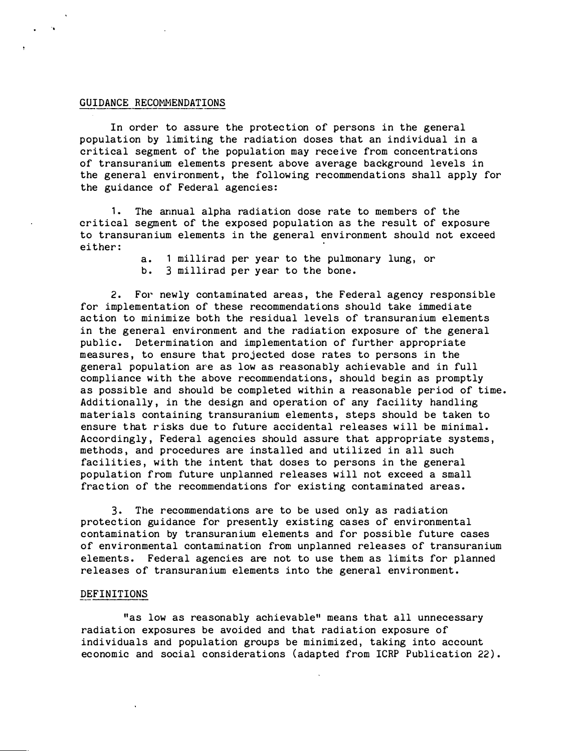#### GUIDANCE RECOMMENDATIONS

..

In order to assure the protec tion of persons in the general population by limiting the radiation doses that an individual in a critical segment of the population may receive from concentrations of transuranium elements present above average background levels in the general environment, the following recommendations shall apply for the guidance of Federal agencies:

1. The annual alpha radiation dose rate to members of the critical segment of the exposed population as the result of exposure to transuranium elements in the general environment should not exceed either:

> a. 1 millirad per year to the pulmonary lung, or b. 3 millirad per year to the bone.

2. For newly contaminated areas, the Federal agency responsible for implementation of these recommendations should take immediate ac tion to minimize both the residual levels of transuranium elements in the general environment and the radiation exposure of the general public. Determination and implementation of further appropriate measures, to ensure that projected dose rates to persons in the general population are as low as reasonably achievable and in full compliance with the above recommendations, should begin as promptly as possible and should be completed within a reasonable period of time. Additionally, in the design and operation of any facility handling materials containing transuranium elements, steps should be taken to ensure that risks due to future accidental releases will be minimal. Accordingly, Federal agencies should assure that appropriate systems, methods, and procedures are installed and utilized in all such facilities, with the intent that doses to persons in the general population from future unplanned releases will not exceed a small frac tion of the recommendations for existing contaminated areas.

3. The recommendations are to be used only as radiation protec tion guidance for presently existing cases of environmental contamination by transuranium elements and for possible future cases of environmental contamination from unplanned releases of transuranium elements. Federal agencies are not to use them as limits for planned releases of transuranium elements into the general environment.

#### DEFINITIONS

"as low as reasonably achievable" means that all unnecessary radiation exposures be avoided and that radiation exposure of individuals and population groups be minimized, taking into account economic and social considerations (adapted from ICRP Publication 22).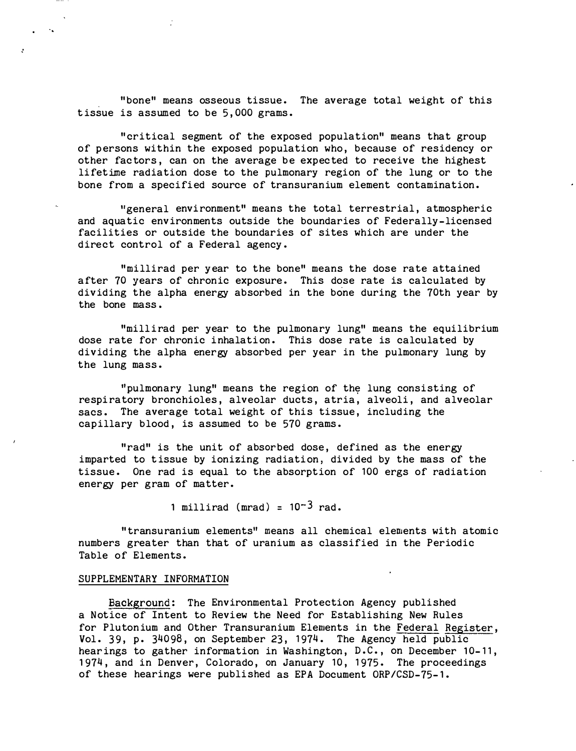"bone" means osseous tissue. The average total weight of this tissue is assumed to be 5,000 grams.

"critical segment of the exposed population" means that group of persons within the exposed population who, because of residency or other factors, can on the average be expected to receive the highest lifetime radiation dose to the pulmonary region of the lung or to the bone from a specified source of transuranium element contamination.

"general environment" means the total terrestrial, atmospheric and aquatic environments outside the boundaries of Federally-licensed facilities or outside the boundaries of sites which are under the direct control of a Federal agency.

"millirad per year to the bone" means the dose rate attained after 70 years of chronic exposure. This dose rate is calculated by dividing the alpha energy absorbed in the bone during the 70th year by the bone mass •

"millirad per year to the pulmonary lung" means the equilibrium dose rate for chronic inhalation. This dose rate is calculated by dividing the alpha energy absorbed per year in the pulmonary lung by the lung mass.

"pulmonary lung" means the region of the lung consisting of respiratory bronchioles, alveolar ducts, atria, alveoli, and alveolar sacs. The average total weight of this tissue, including the capillary blood, is assumed to be 570 grams.

"rad" is the unit of absorbed dose, defined as the energy imparted to t issue by ionizing radiation, divided by the mass of the tissue. One rad is equal to the absorption of 100 ergs of radiation energy per gram of matter.

1 millirad (mrad) =  $10^{-3}$  rad.

"transuranium elements" means all chemical elements with atomic numbers greater than that of uranium as classified in the Periodic Table of Elements.

#### SUPPLEMENTARY INFORMATION

�ackground: The Environmental Protection Agency published a Notice of Intent to Review the Need for Establishing New Rules for Plutonium and Other Transuranium Elements in the Federal Register, Vol. 39, p. 34098, on September 23, 1974. The Agency held public hearings to gather information in Washington, D.C., on December 10-11, 1974, and in Denver, Colorado, on January 10, 1975. The proceedings of these hearings were published as EPA Document ORP/CSD-75-1.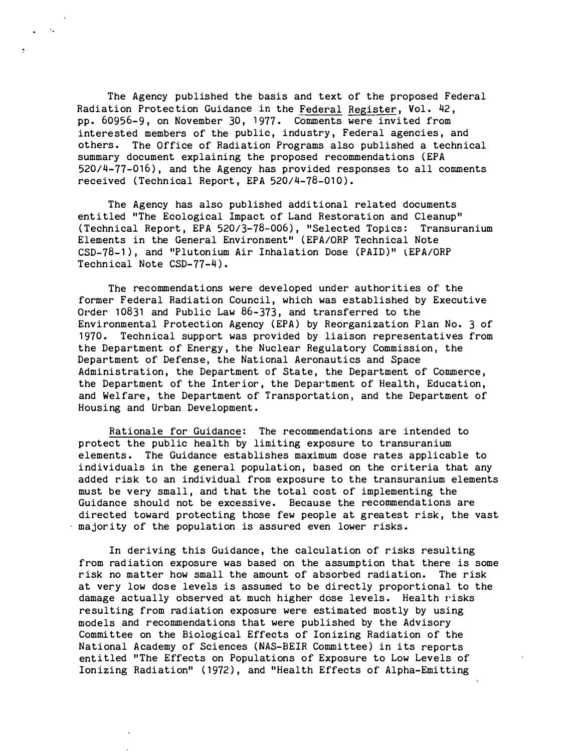The Agency published the basis and text of the proposed Federal Radiation Protection Guidance in the Federal Register, Vol. 42, pp. 60956-9, on November 30, 1977. Comments were invited from intere sted members of the public, industry, Federal agencies, and others. The Office of Radiation Programs also published a technical summary document explaining the proposed recommendations (EPA 520/4-77-016), and the Agency has provided responses to all comments received (Technical Report, EPA 520/4-78-010).

The Agency has also published additional related documents entitled "The Ecological Impact of Land Restoration and Cleanup" (Technical Report, EPA 520/3-78-006), "Selected Topics: Transuranium Elements in the General Environ ment" (EPA/ORP Technical Note CSD-78-1), and "Plutonium Air Inhalation Dose (PAID)" (EPA/ORP Technical Note CSD-77-4).

The recommendations were developed under authorities of the former Federal Radiation Council, which was established by Executive Order  $10831$  and Public Law  $86-373$ , and transferred to the Environmental Protection Agency (EPA) by Reorganization Plan No. 3 of 1970. Technical support was provided by liaison representatives from the Department of Energy, the Nuclear Regulatory Commission, the Department of Defense, the National Aeronautics and Space Administration, the Department of State, the Department of Commerce, the Department of the Interior, the Department of Health, Education, and Welfare, the Department of Transportation, and the Department of Housing and Urban Development.

Rationale for Guidance: The recommendations are intended to protect the public health by limiting exposure to transuranium elements. The Guidance establishes maximum dose rates applicable to individuals in the general population, based on the criteria that any added risk to an individual from exposure to the transuranium elements must be very small, and that the total cost of implementing the Guidance should not be excessive. Because the recommendations are directed toward protecting those few people at greatest risk, the vast majority of the population is assured even lower risks.

In deriving this Guidance, the calculation of risks resulting from rad iation exposure was based on the assumption that there is some r isk no matter how small the amount of absorbed radiation. The risk at very low dose levels is assumed to be directly proportional to the damage actually observed at much higher dose levels. Health risks re sulting from radiation exposure were estimated mostly by using models and recommendations that were published by the Advisory Committee on the Biological Effects of Ionizing Radiation of the National Academy of Sciences (NAS-BEIR Committee) in its reports entitled "The Effects on Populations of Exposure to Low Levels of Ionizing Radiation" (1972), and "Health Effects of Alpha-Emitting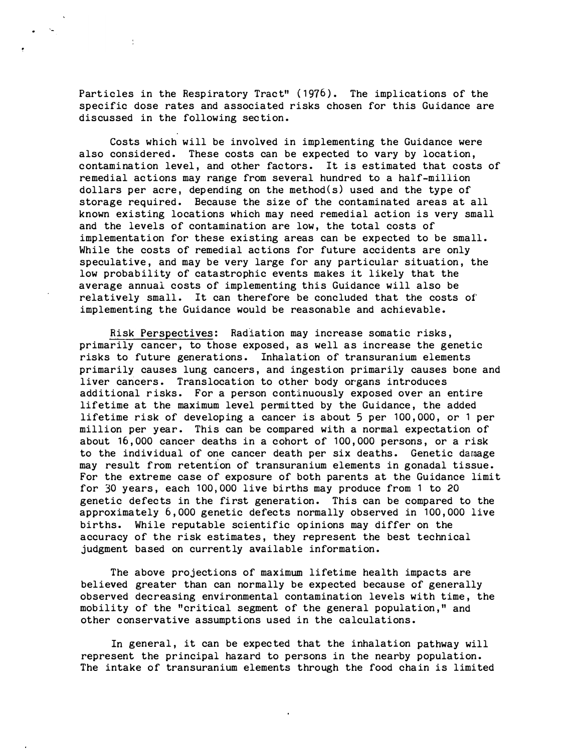Particles in the Respiratory Tract" (1976). The implications of the specific dose rates and associated risks chosen for this Guidance are discussed in the following sec tion.

÷

Costs which will be involved in implementing the Guidance were also considered. These costs can be expected to vary by location, c ontamination level, and other fac tors. It is estimated that costs of remedial ac tions may range from several hundred to a half-million dollars per acre, depending on the method(s) used and the type of storage required. Because the size of the contaminated areas at all k nown existing locations which may need remedial action is very small and the levels of contamination are low, the total costs of implementation for these existing areas can be expected to be small. While the costs of remedial actions for future accidents are only speculative, and may be very large for any particular situation, the low probability of catastrophic events makes it likely that the average annual costs of implementing this Guidance will also be relatively small. It can therefore be concluded that the costs of implementing the Guidance would be reasonable and achievable.

Risk Perspectives: Radiation may increase somatic risks, primarily cancer, to those exposed, as well as increase the genetic risks to future generations. Inhalation of transuranium elements primarily causes lung cancers, and ingestion primarily causes bone and liver cancers. Translocation to other body organs introduces additional risks. For a person continuously exposed over an entire lifetime at the maximum level permitted by the Guidance, the added lifetime risk of developing a cancer is about 5 per 100,000, or 1 per million per year. This can be compared with a normal expectation of about 16,000 cancer deaths in a cohort of 100,000 persons, or a risk to the individual of one cancer death per six deaths. Genetic damage may result from retention of transuranium elements in gonadal tissue. For the extreme case of exposure of both parents at the Guidance limit for 30 years, each 100,000 live births may produce from 1 to 20 genetic defects in the first generation. This can be compared to the approximately 6,000 genetic defec ts normally observed in 100,000 live births. While reputable scientific opinions may differ on the accuracy of the risk estimates, they represent the best technical judgment based on currently available information.

The above projections of maximum lifetime health impacts are believed greater than can normally be expected because of generally observed decreasing environmental contamination levels with time, the mobility of the "critical segment of the general population," and other c onservative assumptions used in the calculations.

In general, it can be expec ted that the inhalation pathway will represent the principal hazard to persons in the nearby population. The intake of transuranium elements through the food chain is limited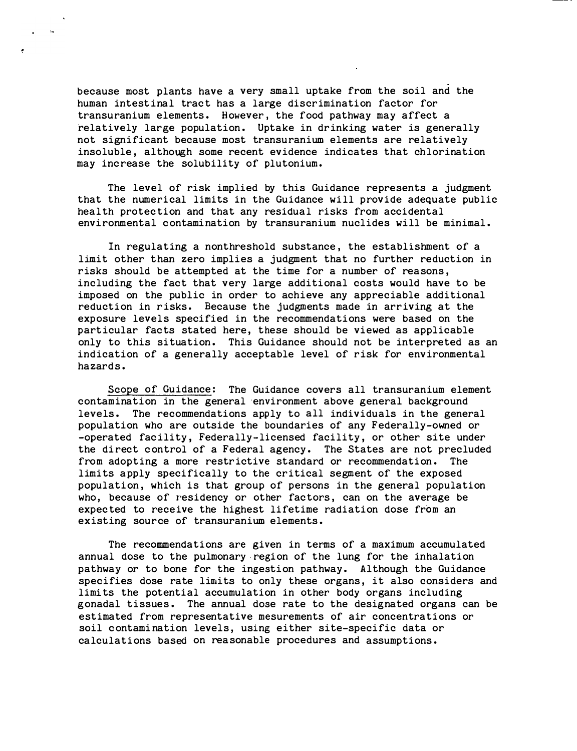because most plants have a very small uptake from the soil and the human intestinal tract has a large discrimination factor for transuranium elements. However, the food pathway may affect a relatively large population. Uptake in drinking water is generally not significant because most transuranium elements are relatively insoluble, although some recent evidence indicates that chlorination may inc rease the solubility of plutonium.

The level of risk implied by this Guidance represents a judgment that the numerical limits in the Guidance will provide adequate public health protec tion and that any residual risks from accidental environmental contamination by transuranium nuclides will be minimal.

In regulating a nonthreshold substance, the establishment of a limit other than zero implies a judgment that no further reduction in risks should be attempted at the time for a number of reasons, including the fact that very large additional costs would have to be imposed on the public in order to achieve any appreciable additional reduction in risks. Because the judgments made in arriving at the exposure levels specified in the recommendations were based on the particular facts stated here, these should be viewed as applicable only to this situation. This Guidance should not be interpreted as an indication of a generally acceptable level of risk for environmental hazard s.

Scope of Guidance: The Guidance covers all transuranium element contamination in the general environment above general background levels. The recommendations apply to all individuals in the general population who are outside the boundaries of any Federally-owned or -operated facility, Federally-licensed facility, or other site under the direct control of a Federal agency. The States are not precluded f rom adopting a more restrictive standard or recommendation. The limits apply specifically to the critical segment of the exposed population, which is that group of persons in the general population who, because of residency or other factors, can on the average be expec ted to receive the highest lifetime radiation dose from an existing sour ce of transuranium elements.

The recommendations are given in terms of a maximum accumulated annual dose to the pulmonary region of the lung for the inhalation pathway or to bone for the ingestion pathway. Although the Guidance specifies dose rate limits to only these organs, it also considers and limits the potential accumulation in other body organs including gonadal tissues. The annual dose rate to the designated organs can be estimated from representative mesurements of air concentrations or soil c ontami nation levels, using either site-specific data or calculations based on reasonable procedures and assumptions.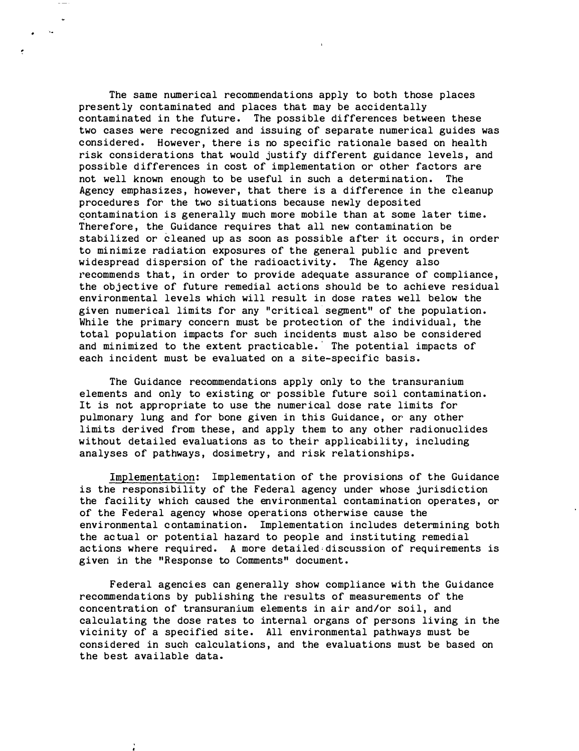The same numerical recommendations apply to both those places presently contaminated and places that may be accidentally contaminated in the future. The possible differences between these two cases were recognized and issuing of separate numerical guides was considered. However, there is no specific rationale based on health risk considerations that would justify different guidance levels, and possible differences in cost of implementation or other factors are not well known enough to be useful in such a determination. The Agency emphasizes, however, that there is a difference in the cleanup procedures for the two situations because newly deposited contamination is generally much more mobile than at some later time. Therefore, the Guidance requires that all new contamination be stabilized or cleaned up as soon as possible after it occurs, in order to minimize radiation exposures of the general public and prevent widespread dispersion of the radioactivity. The Agency also recommends that, in order to provide adequate assurance of compliance, the obj ective of future remedial actions should be to achieve residual environmental levels which will result in dose rates well below the given numerical limits for any "critical.segment" of the population. While the primary concern must be protection of the individual, the total population impacts for such incidents must also be considered and minimized to the extent prac ticable. The potential impacts of each incident must be evaluated on a site-specific basis.

ł

The Guidance recommendations apply only to the transuranium elements and only to existing or possible future soil contamination. It is not appropriate to use the numerical dose rate limits for pulmonary lung and for bone given in this Guidance, or any other limits derived from these, and apply them to any other radionuclides without detailed evaluations as to their applicability, including analyses of pathways, dosimetry, and risk relationships.

Implementation: Implementation of the provisions of the Guidance is the responsibility of the Federal agency under whose jurisdiction the facility which caused the environmental contamination operates, or of the Federal agency whose operations otherwise cause the environmental c ontamination. Implementation includes determining both the ac tual or potential hazard to people and instituting remedial actions where required. A more detailed discussion of requirements is given in the "Response to Comments" document.

Federal agencies can generally show compliance with the Guidance recommendations by publishing the results of measurements of the concentration of transuranium elements in air and/or soil, and calculating the dose rates to internal organs of persons living in the vicinity of a specified site. All environmental pathways must be considered in such calculations, and the evaluations must be based on the best available data.